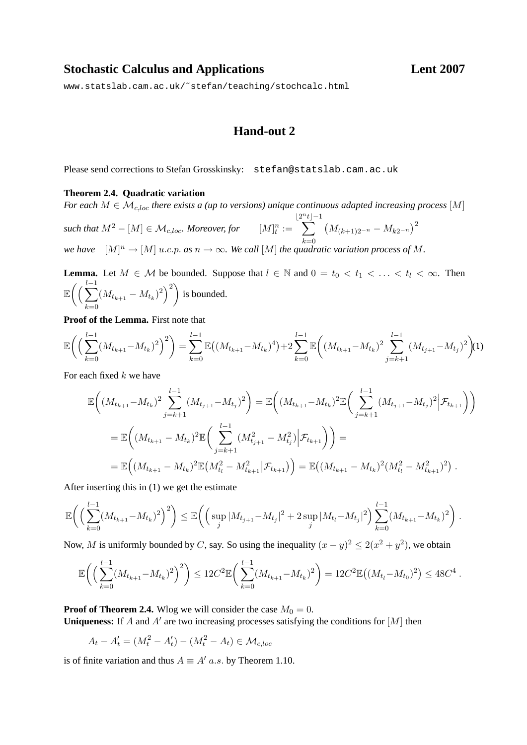## **Stochastic Calculus and Applications Lent 2007**

[www.statslab.cam.ac.uk/˜stefan/teaching/stochcalc.html](www.statslab.cam.ac.uk/~stefan/teaching/stochcalc.html)

## **Hand-out 2**

Please send corrections to Stefan Grosskinsky: stefan@statslab.cam.ac.uk

## **Theorem 2.4. Quadratic variation**

*For each*  $M \in \mathcal{M}_{c,loc}$  *there exists a (up to versions) unique continuous adapted increasing process* [M]

*such that*  $M^2 - [M] \in \mathcal{M}_{c, loc}$ . Moreover, for  $[M]^n_t :=$  $|2^n$  $\sum$  $t|-1$  $k=0$  $(M_{(k+1)2^{-n}} - M_{k2^{-n}})^2$ *we have*  $[M]^n \to [M]$  u.c.p. as  $n \to \infty$ . We call  $[M]$  the quadratic variation process of M.

**Lemma.** Let  $M \in \mathcal{M}$  be bounded. Suppose that  $l \in \mathbb{N}$  and  $0 = t_0 < t_1 < \ldots < t_l < \infty$ . Then  $\mathbb{E}\left(\left(\frac{l-1}{\sum_{i=1}^{n}1}\right)\right)$  $_{k=0}$  $(M_{t_{k+1}} - M_{t_k})^2)$  is bounded.

**Proof of the Lemma.** First note that

<span id="page-0-0"></span>
$$
\mathbb{E}\bigg(\Big(\sum_{k=0}^{l-1} (M_{t_{k+1}} - M_{t_k})^2\Big)^2\bigg) = \sum_{k=0}^{l-1} \mathbb{E}\big((M_{t_{k+1}} - M_{t_k})^4\big) + 2\sum_{k=0}^{l-1} \mathbb{E}\bigg((M_{t_{k+1}} - M_{t_k})^2\sum_{j=k+1}^{l-1} (M_{t_{j+1}} - M_{t_j})^2\bigg)(1)
$$

For each fixed  $k$  we have

$$
\mathbb{E}\left((M_{t_{k+1}}-M_{t_k})^2\sum_{j=k+1}^{l-1}(M_{t_{j+1}}-M_{t_j})^2\right) = \mathbb{E}\left((M_{t_{k+1}}-M_{t_k})^2\mathbb{E}\left(\sum_{j=k+1}^{l-1}(M_{t_{j+1}}-M_{t_j})^2\Big|\mathcal{F}_{t_{k+1}}\right)\right)
$$
  
\n
$$
= \mathbb{E}\left((M_{t_{k+1}}-M_{t_k})^2\mathbb{E}\left(\sum_{j=k+1}^{l-1}(M_{t_{j+1}}^2-M_{t_j}^2)\Big|\mathcal{F}_{t_{k+1}}\right)\right) =
$$
  
\n
$$
= \mathbb{E}\left((M_{t_{k+1}}-M_{t_k})^2\mathbb{E}(M_{t_l}^2-M_{t_{k+1}}^2|\mathcal{F}_{t_{k+1}})\right) = \mathbb{E}((M_{t_{k+1}}-M_{t_k})^2(M_{t_l}^2-M_{t_{k+1}}^2)^2).
$$

After inserting this in [\(1\)](#page-0-0) we get the estimate

$$
\mathbb{E}\bigg(\Big(\sum_{k=0}^{l-1} (M_{t_{k+1}}-M_{t_k})^2\Big)^2\bigg) \leq \mathbb{E}\bigg(\Big(\sup_j |M_{t_{j+1}}-M_{t_j}|^2+2\sup_j |M_{t_l}-M_{t_j}|^2\Big)\sum_{k=0}^{l-1} (M_{t_{k+1}}-M_{t_k})^2\bigg)\ .
$$

Now, M is uniformly bounded by C, say. So using the inequality  $(x - y)^2 \le 2(x^2 + y^2)$ , we obtain

$$
\mathbb{E}\bigg(\Big(\sum_{k=0}^{l-1} (M_{t_{k+1}} - M_{t_k})^2\Big)^2\bigg) \le 12C^2 \mathbb{E}\bigg(\sum_{k=0}^{l-1} (M_{t_{k+1}} - M_{t_k})^2\bigg) = 12C^2 \mathbb{E}\big((M_{t_l} - M_{t_0})^2\big) \le 48C^4.
$$

**Proof of Theorem 2.4.** Wlog we will consider the case  $M_0 = 0$ .

Uniqueness: If  $A$  and  $A'$  are two increasing processes satisfying the conditions for  $[M]$  then

$$
A_t - A'_t = (M_t^2 - A'_t) - (M_t^2 - A_t) \in \mathcal{M}_{c,loc}
$$

is of finite variation and thus  $A \equiv A'$  a.s. by Theorem 1.10.